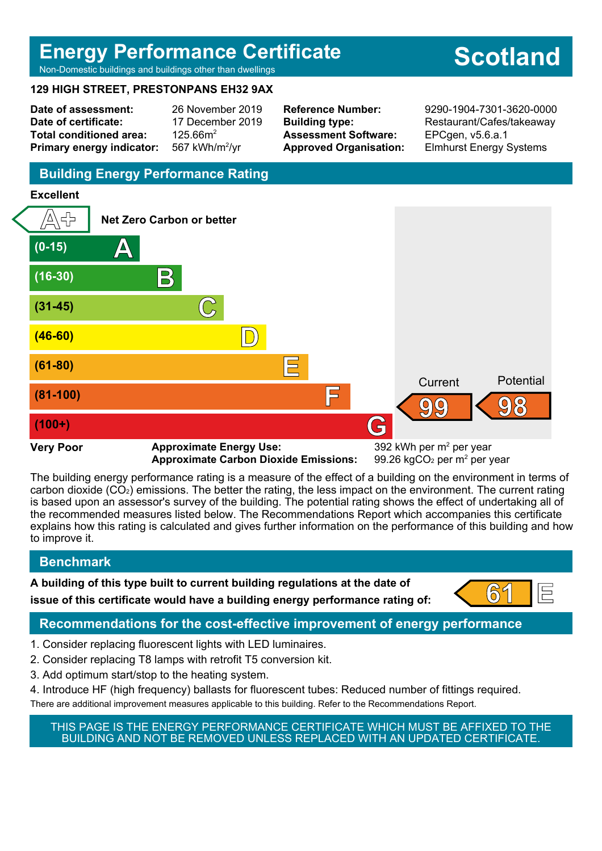## **Energy Performance Certificate**

# **Scotland**

Non-Domestic buildings and buildings other than dwellings

## **129 HIGH STREET, PRESTONPANS EH32 9AX**

**Date of assessment:** 26 November 2019 **Date of certificate:** 17 December 2019 Total conditioned area: 125.66m<sup>2</sup> **Primary energy indicator:** 

567 kWh/m<sup>2</sup>/vr

**Assessment Software:** EPCgen, v5.6.a.1

**Reference Number:** 9290-1904-7301-3620-0000 **Building type:** Restaurant/Cafes/takeaway **Approved Organisation:** Elmhurst Energy Systems

## **Building Energy Performance Rating**

## **Excellent**



**Approximate Carbon Dioxide Emissions:** 

99.26 kgCO<sub>2</sub> per  $m<sup>2</sup>$  per year

The building energy performance rating is a measure of the effect of a building on the environment in terms of carbon dioxide (CO2) emissions. The better the rating, the less impact on the environment. The current rating is based upon an assessor's survey of the building. The potential rating shows the effect of undertaking all of the recommended measures listed below. The Recommendations Report which accompanies this certificate explains how this rating is calculated and gives further information on the performance of this building and how to improve it.

## **Benchmark**

**A building of this type built to current building regulations at the date of issue of this certificate would have a building energy performance rating of:**  $\begin{bmatrix} 61 \\ 1 \end{bmatrix}$ 



## **Recommendations for the cost-effective improvement of energy performance**

- 1. Consider replacing fluorescent lights with LED luminaires.
- 2. Consider replacing T8 lamps with retrofit T5 conversion kit.
- 3. Add optimum start/stop to the heating system.
- 4. Introduce HF (high frequency) ballasts for fluorescent tubes: Reduced number of fittings required. There are additional improvement measures applicable to this building. Refer to the Recommendations Report.

THIS PAGE IS THE ENERGY PERFORMANCE CERTIFICATE WHICH MUST BE AFFIXED TO THE BUILDING AND NOT BE REMOVED UNLESS REPLACED WITH AN UPDATED CERTIFICATE.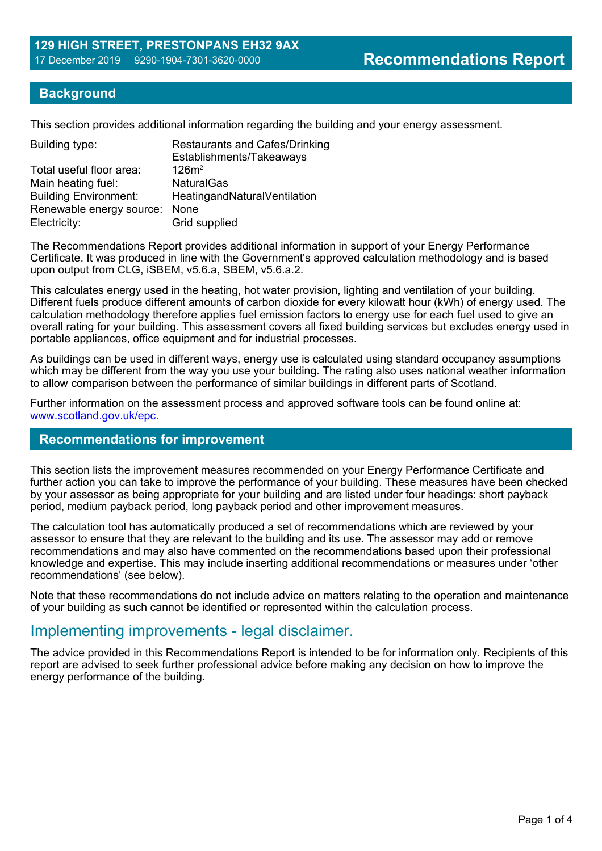## **Background**

This section provides additional information regarding the building and your energy assessment.

| Building type:                | <b>Restaurants and Cafes/Drinking</b><br>Establishments/Takeaways |
|-------------------------------|-------------------------------------------------------------------|
| Total useful floor area:      | $126m^2$                                                          |
| Main heating fuel:            | <b>NaturalGas</b>                                                 |
| <b>Building Environment:</b>  | HeatingandNaturalVentilation                                      |
| Renewable energy source: None |                                                                   |
| Electricity:                  | Grid supplied                                                     |

The Recommendations Report provides additional information in support of your Energy Performance Certificate. It was produced in line with the Government's approved calculation methodology and is based upon output from CLG, iSBEM, v5.6.a, SBEM, v5.6.a.2.

This calculates energy used in the heating, hot water provision, lighting and ventilation of your building. Different fuels produce different amounts of carbon dioxide for every kilowatt hour (kWh) of energy used. The calculation methodology therefore applies fuel emission factors to energy use for each fuel used to give an overall rating for your building. This assessment covers all fixed building services but excludes energy used in portable appliances, office equipment and for industrial processes.

As buildings can be used in different ways, energy use is calculated using standard occupancy assumptions which may be different from the way you use your building. The rating also uses national weather information to allow comparison between the performance of similar buildings in different parts of Scotland.

Further information on the assessment process and approved software tools can be found online at: www.scotland.gov.uk/epc.

#### **Recommendations for improvement**

This section lists the improvement measures recommended on your Energy Performance Certificate and further action you can take to improve the performance of your building. These measures have been checked by your assessor as being appropriate for your building and are listed under four headings: short payback period, medium payback period, long payback period and other improvement measures.

The calculation tool has automatically produced a set of recommendations which are reviewed by your assessor to ensure that they are relevant to the building and its use. The assessor may add or remove recommendations and may also have commented on the recommendations based upon their professional knowledge and expertise. This may include inserting additional recommendations or measures under 'other recommendations' (see below).

Note that these recommendations do not include advice on matters relating to the operation and maintenance of your building as such cannot be identified or represented within the calculation process.

## Implementing improvements - legal disclaimer.

The advice provided in this Recommendations Report is intended to be for information only. Recipients of this report are advised to seek further professional advice before making any decision on how to improve the energy performance of the building.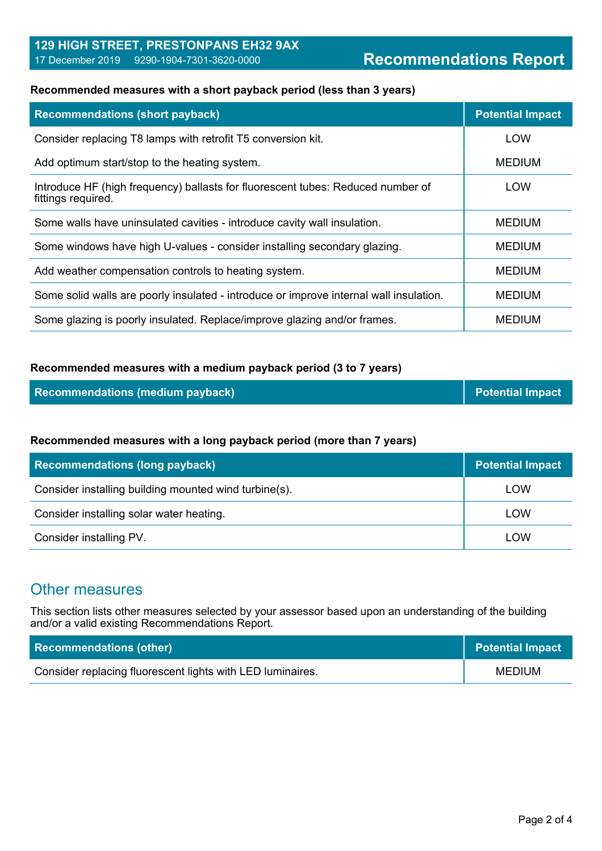## **129 HIGH STREET, PRESTONPANS EH32 9AX** 17 December 2019 9290-1904-7301-3620-0000 **Recommendations Report**

#### **Recommended measures with a short payback period (less than 3 years)**

| <b>Recommendations (short payback)</b>                                                                | <b>Potential Impact</b> |
|-------------------------------------------------------------------------------------------------------|-------------------------|
| Consider replacing T8 lamps with retrofit T5 conversion kit.                                          | <b>LOW</b>              |
| Add optimum start/stop to the heating system.                                                         | <b>MEDIUM</b>           |
| Introduce HF (high frequency) ballasts for fluorescent tubes: Reduced number of<br>fittings required. | LOW                     |
| Some walls have uninsulated cavities - introduce cavity wall insulation.                              | <b>MEDIUM</b>           |
| Some windows have high U-values - consider installing secondary glazing.                              | <b>MEDIUM</b>           |
| Add weather compensation controls to heating system.                                                  | <b>MEDIUM</b>           |
| Some solid walls are poorly insulated - introduce or improve internal wall insulation.                | <b>MEDIUM</b>           |
| Some glazing is poorly insulated. Replace/improve glazing and/or frames.                              | <b>MEDIUM</b>           |

#### **Recommended measures with a medium payback period (3 to 7 years)**

| <b>Recommendations (medium payback)</b> | $\vert\vert$ Potential Impact |
|-----------------------------------------|-------------------------------|
|-----------------------------------------|-------------------------------|

#### **Recommended measures with a long payback period (more than 7 years)**

| <b>Recommendations (long payback)</b>                 | <b>Potential Impact</b> |
|-------------------------------------------------------|-------------------------|
| Consider installing building mounted wind turbine(s). | LOW                     |
| Consider installing solar water heating.              | LOW                     |
| Consider installing PV.                               | LOW                     |

## Other measures

This section lists other measures selected by your assessor based upon an understanding of the building and/or a valid existing Recommendations Report.

| <b>Recommendations (other)</b>                             | <b>Potential Impact</b> |
|------------------------------------------------------------|-------------------------|
| Consider replacing fluorescent lights with LED luminaires. | MEDIUM                  |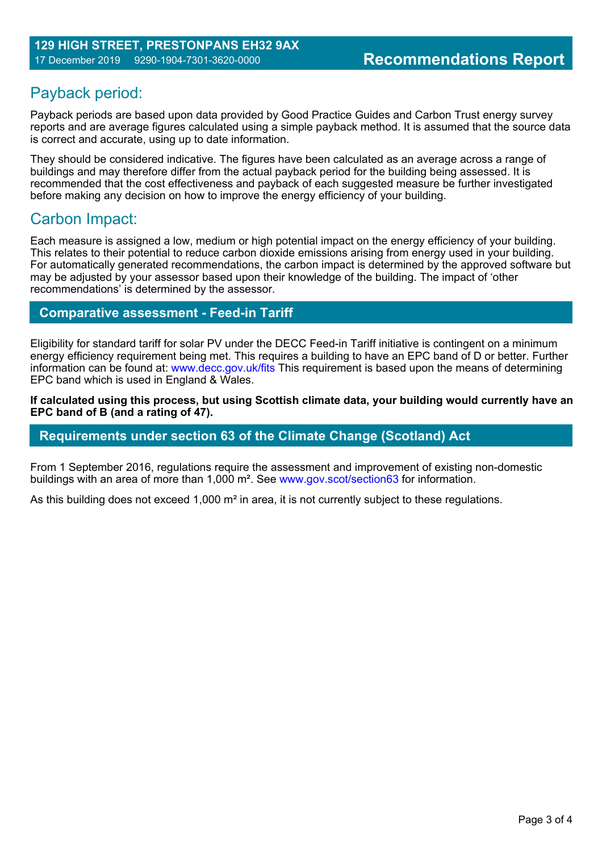## Payback period:

Payback periods are based upon data provided by Good Practice Guides and Carbon Trust energy survey reports and are average figures calculated using a simple payback method. It is assumed that the source data is correct and accurate, using up to date information.

They should be considered indicative. The figures have been calculated as an average across a range of buildings and may therefore differ from the actual payback period for the building being assessed. It is recommended that the cost effectiveness and payback of each suggested measure be further investigated before making any decision on how to improve the energy efficiency of your building.

## Carbon Impact:

Each measure is assigned a low, medium or high potential impact on the energy efficiency of your building. This relates to their potential to reduce carbon dioxide emissions arising from energy used in your building. For automatically generated recommendations, the carbon impact is determined by the approved software but may be adjusted by your assessor based upon their knowledge of the building. The impact of 'other recommendations' is determined by the assessor.

## **Comparative assessment - Feed-in Tariff**

Eligibility for standard tariff for solar PV under the DECC Feed-in Tariff initiative is contingent on a minimum energy efficiency requirement being met. This requires a building to have an EPC band of D or better. Further information can be found at: www.decc.gov.uk/fits This requirement is based upon the means of determining EPC band which is used in England & Wales.

**If calculated using this process, but using Scottish climate data, your building would currently have an EPC band of B (and a rating of 47).**

## **Requirements under section 63 of the Climate Change (Scotland) Act**

From 1 September 2016, regulations require the assessment and improvement of existing non-domestic buildings with an area of more than 1,000 m². See www.gov.scot/section63 for information.

As this building does not exceed 1,000 m<sup>2</sup> in area, it is not currently subject to these regulations.